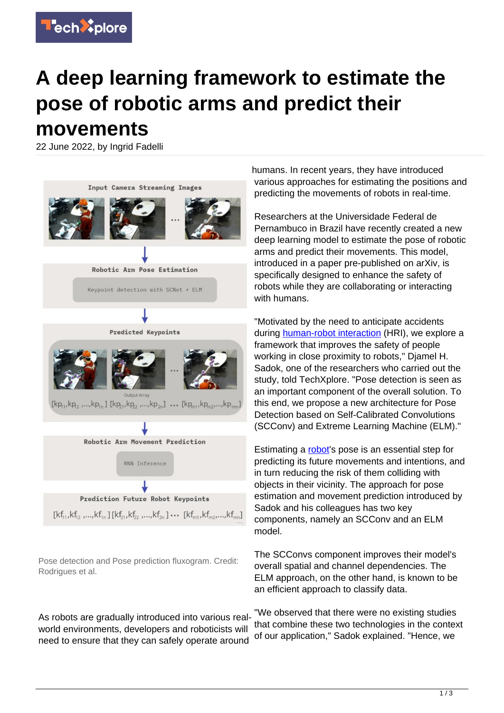

## **A deep learning framework to estimate the pose of robotic arms and predict their movements**

22 June 2022, by Ingrid Fadelli



Pose detection and Pose prediction fluxogram. Credit: Rodrigues et al.

As robots are gradually introduced into various realworld environments, developers and roboticists will need to ensure that they can safely operate around

humans. In recent years, they have introduced various approaches for estimating the positions and predicting the movements of robots in real-time.

Researchers at the Universidade Federal de Pernambuco in Brazil have recently created a new deep learning model to estimate the pose of robotic arms and predict their movements. This model, introduced in a paper pre-published on arXiv, is specifically designed to enhance the safety of robots while they are collaborating or interacting with humans.

"Motivated by the need to anticipate accidents during [human-robot interaction](https://techxplore.com/tags/human-robot+interaction/) (HRI), we explore a framework that improves the safety of people working in close proximity to robots," Djamel H. Sadok, one of the researchers who carried out the study, told TechXplore. "Pose detection is seen as an important component of the overall solution. To this end, we propose a new architecture for Pose Detection based on Self-Calibrated Convolutions (SCConv) and Extreme Learning Machine (ELM)."

Estimating a [robot](https://techxplore.com/tags/robot/)'s pose is an essential step for predicting its future movements and intentions, and in turn reducing the risk of them colliding with objects in their vicinity. The approach for pose estimation and movement prediction introduced by Sadok and his colleagues has two key components, namely an SCConv and an ELM model.

The SCConvs component improves their model's overall spatial and channel dependencies. The ELM approach, on the other hand, is known to be an efficient approach to classify data.

"We observed that there were no existing studies that combine these two technologies in the context of our application," Sadok explained. "Hence, we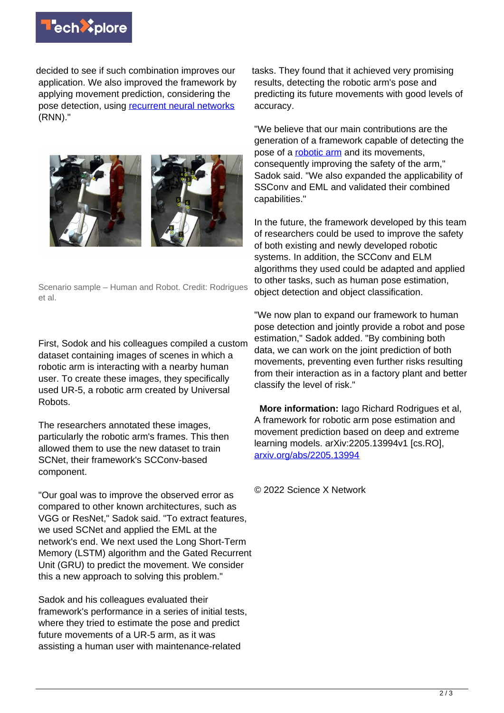

decided to see if such combination improves our application. We also improved the framework by applying movement prediction, considering the pose detection, using [recurrent neural networks](https://techxplore.com/tags/recurrent+neural+networks/) (RNN)."



Scenario sample – Human and Robot. Credit: Rodrigues et al.

First, Sodok and his colleagues compiled a custom dataset containing images of scenes in which a robotic arm is interacting with a nearby human user. To create these images, they specifically used UR-5, a robotic arm created by Universal Robots.

The researchers annotated these images, particularly the robotic arm's frames. This then allowed them to use the new dataset to train SCNet, their framework's SCConv-based component.

"Our goal was to improve the observed error as compared to other known architectures, such as VGG or ResNet," Sadok said. "To extract features, we used SCNet and applied the EML at the network's end. We next used the Long Short-Term Memory (LSTM) algorithm and the Gated Recurrent Unit (GRU) to predict the movement. We consider this a new approach to solving this problem."

Sadok and his colleagues evaluated their framework's performance in a series of initial tests, where they tried to estimate the pose and predict future movements of a UR-5 arm, as it was assisting a human user with maintenance-related

tasks. They found that it achieved very promising results, detecting the robotic arm's pose and predicting its future movements with good levels of accuracy.

"We believe that our main contributions are the generation of a framework capable of detecting the pose of a [robotic arm](https://techxplore.com/tags/robotic+arm/) and its movements, consequently improving the safety of the arm," Sadok said. "We also expanded the applicability of SSConv and EML and validated their combined capabilities."

In the future, the framework developed by this team of researchers could be used to improve the safety of both existing and newly developed robotic systems. In addition, the SCConv and ELM algorithms they used could be adapted and applied to other tasks, such as human pose estimation, object detection and object classification.

"We now plan to expand our framework to human pose detection and jointly provide a robot and pose estimation," Sadok added. "By combining both data, we can work on the joint prediction of both movements, preventing even further risks resulting from their interaction as in a factory plant and better classify the level of risk."

 **More information:** Iago Richard Rodrigues et al, A framework for robotic arm pose estimation and movement prediction based on deep and extreme learning models. arXiv:2205.13994v1 [cs.RO], [arxiv.org/abs/2205.13994](https://arxiv.org/abs/2205.13994)

© 2022 Science X Network